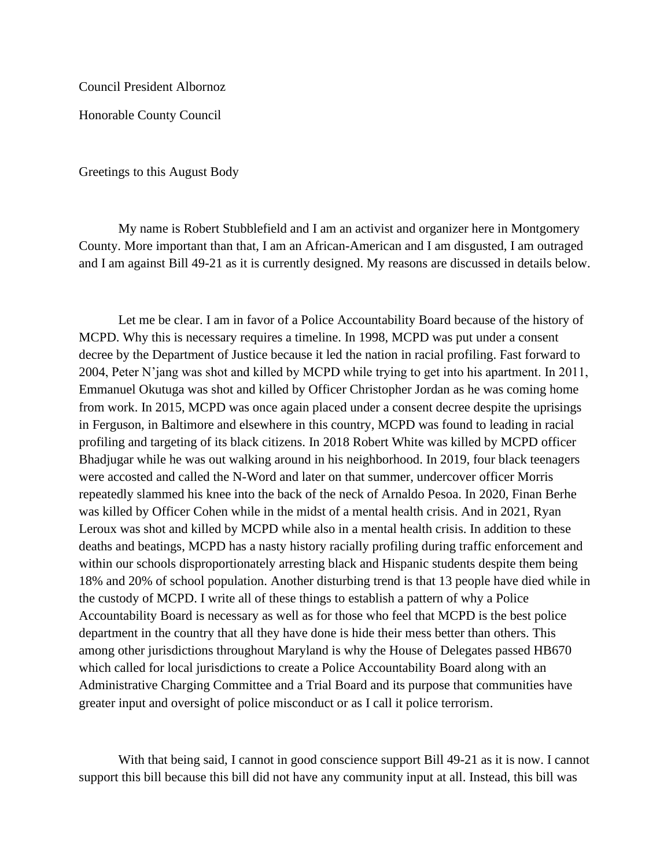Council President Albornoz

Honorable County Council

Greetings to this August Body

My name is Robert Stubblefield and I am an activist and organizer here in Montgomery County. More important than that, I am an African-American and I am disgusted, I am outraged and I am against Bill 49-21 as it is currently designed. My reasons are discussed in details below.

Let me be clear. I am in favor of a Police Accountability Board because of the history of MCPD. Why this is necessary requires a timeline. In 1998, MCPD was put under a consent decree by the Department of Justice because it led the nation in racial profiling. Fast forward to 2004, Peter N'jang was shot and killed by MCPD while trying to get into his apartment. In 2011, Emmanuel Okutuga was shot and killed by Officer Christopher Jordan as he was coming home from work. In 2015, MCPD was once again placed under a consent decree despite the uprisings in Ferguson, in Baltimore and elsewhere in this country, MCPD was found to leading in racial profiling and targeting of its black citizens. In 2018 Robert White was killed by MCPD officer Bhadjugar while he was out walking around in his neighborhood. In 2019, four black teenagers were accosted and called the N-Word and later on that summer, undercover officer Morris repeatedly slammed his knee into the back of the neck of Arnaldo Pesoa. In 2020, Finan Berhe was killed by Officer Cohen while in the midst of a mental health crisis. And in 2021, Ryan Leroux was shot and killed by MCPD while also in a mental health crisis. In addition to these deaths and beatings, MCPD has a nasty history racially profiling during traffic enforcement and within our schools disproportionately arresting black and Hispanic students despite them being 18% and 20% of school population. Another disturbing trend is that 13 people have died while in the custody of MCPD. I write all of these things to establish a pattern of why a Police Accountability Board is necessary as well as for those who feel that MCPD is the best police department in the country that all they have done is hide their mess better than others. This among other jurisdictions throughout Maryland is why the House of Delegates passed HB670 which called for local jurisdictions to create a Police Accountability Board along with an Administrative Charging Committee and a Trial Board and its purpose that communities have greater input and oversight of police misconduct or as I call it police terrorism.

With that being said, I cannot in good conscience support Bill 49-21 as it is now. I cannot support this bill because this bill did not have any community input at all. Instead, this bill was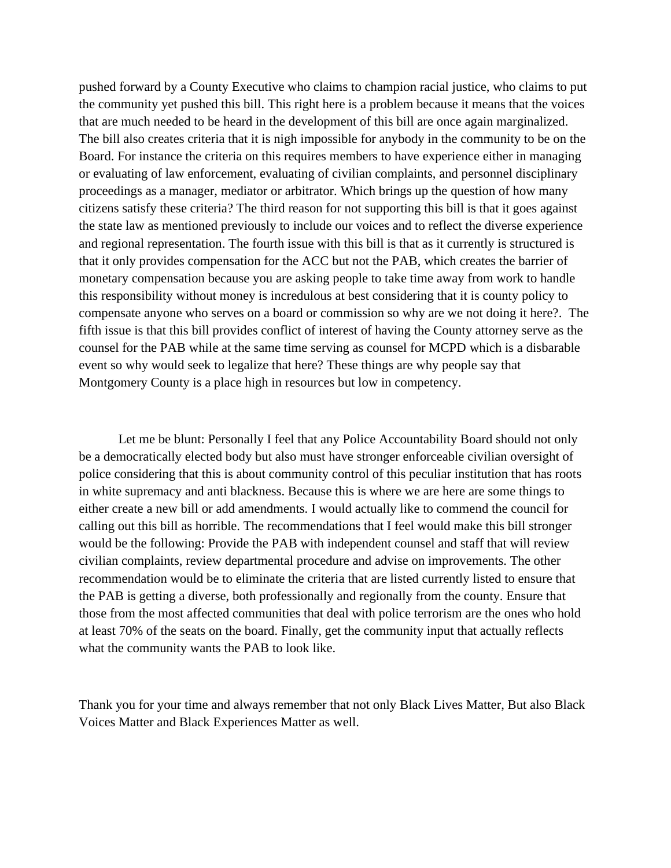pushed forward by a County Executive who claims to champion racial justice, who claims to put the community yet pushed this bill. This right here is a problem because it means that the voices that are much needed to be heard in the development of this bill are once again marginalized. The bill also creates criteria that it is nigh impossible for anybody in the community to be on the Board. For instance the criteria on this requires members to have experience either in managing or evaluating of law enforcement, evaluating of civilian complaints, and personnel disciplinary proceedings as a manager, mediator or arbitrator. Which brings up the question of how many citizens satisfy these criteria? The third reason for not supporting this bill is that it goes against the state law as mentioned previously to include our voices and to reflect the diverse experience and regional representation. The fourth issue with this bill is that as it currently is structured is that it only provides compensation for the ACC but not the PAB, which creates the barrier of monetary compensation because you are asking people to take time away from work to handle this responsibility without money is incredulous at best considering that it is county policy to compensate anyone who serves on a board or commission so why are we not doing it here?. The fifth issue is that this bill provides conflict of interest of having the County attorney serve as the counsel for the PAB while at the same time serving as counsel for MCPD which is a disbarable event so why would seek to legalize that here? These things are why people say that Montgomery County is a place high in resources but low in competency.

Let me be blunt: Personally I feel that any Police Accountability Board should not only be a democratically elected body but also must have stronger enforceable civilian oversight of police considering that this is about community control of this peculiar institution that has roots in white supremacy and anti blackness. Because this is where we are here are some things to either create a new bill or add amendments. I would actually like to commend the council for calling out this bill as horrible. The recommendations that I feel would make this bill stronger would be the following: Provide the PAB with independent counsel and staff that will review civilian complaints, review departmental procedure and advise on improvements. The other recommendation would be to eliminate the criteria that are listed currently listed to ensure that the PAB is getting a diverse, both professionally and regionally from the county. Ensure that those from the most affected communities that deal with police terrorism are the ones who hold at least 70% of the seats on the board. Finally, get the community input that actually reflects what the community wants the PAB to look like.

Thank you for your time and always remember that not only Black Lives Matter, But also Black Voices Matter and Black Experiences Matter as well.